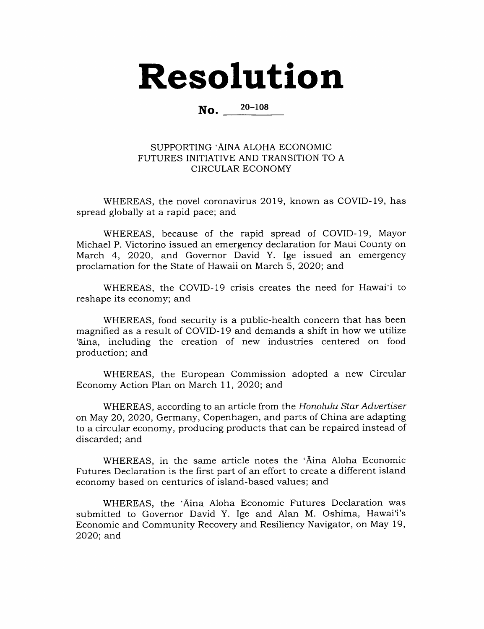## Resolution

No. 20-108

## SUPPORTING 'AINA ALOHA ECONOMIC FUTURES INITIATIVE AND TRANSITION TO A CIRCULAR ECONOMY

WHEREAS, the novel coronavirus 2019, known as COVID-19, has spread globally at a rapid pace; and

WHEREAS, because of the rapid spread of COVID-19, Mayor Michael P. Victorino issued an emergency declaration for Maui County on March 4, 2020, and Governor David Y. Ige issued an emergency proclamation for the State of Hawaii on March 5, 2020; and

WHEREAS, the COVID-19 crisis creates the need for Hawaii to reshape its economy; and

WHEREAS, food security is a public-health concern that has been magnified as a result of COVID-19 and demands a shift in how we utilize 'aina, including the creation of new industries centered on food production; and

WHEREAS, the European Commission adopted a new Circular Economy Action Plan on March 11, 2020; and

WHEREAS, according to an article from the Honolulu Star Advertiser on May 20, 2020, Germany, Copenhagen, and parts of China are adapting to a circular economy, producing products that can be repaired instead of discarded; and

WHEREAS, in the same article notes the 'Aina Aloha Economic Futures Declaration is the first part of an effort to create a different island economy based on centuries of island-based values; and

WHEREAS, the 'Aina Aloha Economic Futures Declaration was submitted to Governor David Y. Ige and Alan M. Oshima, Hawai'i's Economic and Community Recovery and Resiliency Navigator, on May 19, 2020; and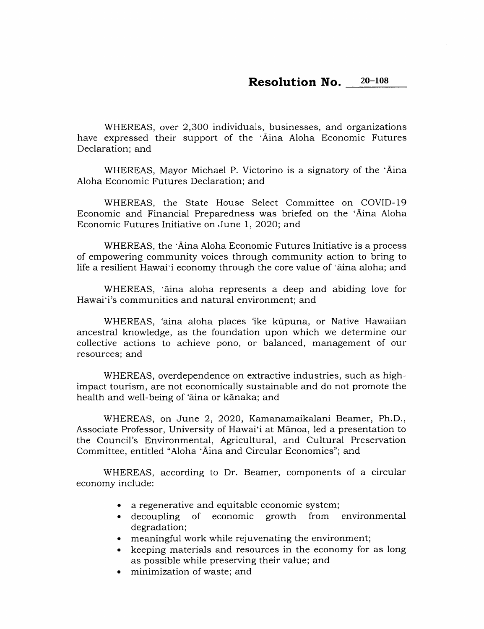## $20 - 108$ **Resolution No.**

WHEREAS, over 2,300 individuals, businesses, and organizations have expressed their support of the 'Aina Aloha Economic Futures Declaration; and

WHEREAS, Mayor Michael P. Victorino is a signatory of the 'Aina Aloha Economic Futures Declaration; and

WHEREAS, the State House Select Committee on COVID-19 Economic and Financial Preparedness was briefed on the 'Aina Aloha Economic Futures Initiative on June 1, 2020; and

WHEREAS, the 'Aina Aloha Economic Futures Initiative is a process of empowering community voices through community action to bring to life a resilient Hawai'i economy through the core value of 'aina aloha; and

WHEREAS, 'aina aloha represents a deep and abiding love for Hawai'i's communities and natural environment; and

WHEREAS, 'aina aloha places 'ike kūpuna, or Native Hawaiian ancestral knowledge, as the foundation upon which we determine our collective actions to achieve pono, or balanced, management of our resources; and

WHEREAS, overdependence on extractive industries, such as highimpact tourism, are not economically sustainable and do not promote the health and well-being of 'aina or kanaka; and

WHEREAS, on June 2, 2020, Kamanamaikalani Beamer, Ph.D., Associate Professor, University of Hawai'i at Mānoa, led a presentation to the Council's Environmental, Agricultural, and Cultural Preservation Committee, entitled "Aloha 'Aina and Circular Economies"; and

WHEREAS, according to Dr. Beamer, components of a circular economy include:

- a regenerative and equitable economic system;
- of economic growth from environmental  $\bullet$  decoupling degradation;
- meaningful work while rejuvenating the environment;
- keeping materials and resources in the economy for as long as possible while preserving their value; and
- minimization of waste; and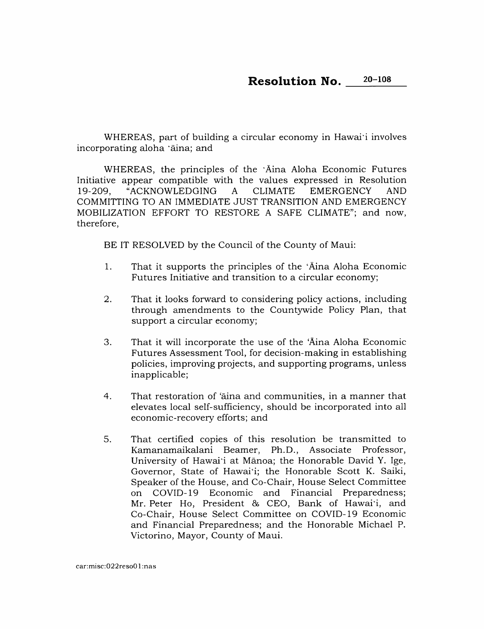WHEREAS, part of building a circular economy in Hawai'i involves incorporating aloha 'āina; and

WHEREAS, the principles of the 'Aina Aloha Economic Futures Initiative appear compatible with the values expressed in Resolution "ACKNOWLEDGING **EMERGENCY** 19-209,  $\mathbf{A}$ **CLIMATE AND** COMMITTING TO AN IMMEDIATE JUST TRANSITION AND EMERGENCY MOBILIZATION EFFORT TO RESTORE A SAFE CLIMATE"; and now, therefore.

BE IT RESOLVED by the Council of the County of Maui:

- That it supports the principles of the 'Aina Aloha Economic  $1<sub>1</sub>$ Futures Initiative and transition to a circular economy;
- $2.$ That it looks forward to considering policy actions, including through amendments to the Countywide Policy Plan, that support a circular economy;
- 3. That it will incorporate the use of the 'Aina Aloha Economic Futures Assessment Tool, for decision-making in establishing policies, improving projects, and supporting programs, unless inapplicable;
- $4.$ That restoration of 'aina and communities, in a manner that elevates local self-sufficiency, should be incorporated into all economic-recovery efforts; and
- 5. That certified copies of this resolution be transmitted to Kamanamaikalani Beamer, Ph.D., Associate Professor, University of Hawai'i at Mānoa; the Honorable David Y. Ige, Governor, State of Hawai'i; the Honorable Scott K. Saiki, Speaker of the House, and Co-Chair, House Select Committee on COVID-19 Economic and Financial Preparedness; Mr. Peter Ho, President & CEO, Bank of Hawai'i, and Co-Chair, House Select Committee on COVID-19 Economic and Financial Preparedness; and the Honorable Michael P. Victorino, Mayor, County of Maui.